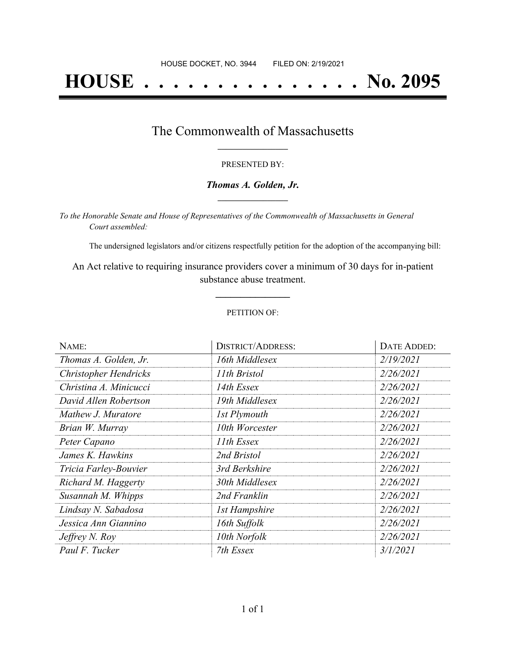# **HOUSE . . . . . . . . . . . . . . . No. 2095**

## The Commonwealth of Massachusetts **\_\_\_\_\_\_\_\_\_\_\_\_\_\_\_\_\_**

#### PRESENTED BY:

#### *Thomas A. Golden, Jr.* **\_\_\_\_\_\_\_\_\_\_\_\_\_\_\_\_\_**

*To the Honorable Senate and House of Representatives of the Commonwealth of Massachusetts in General Court assembled:*

The undersigned legislators and/or citizens respectfully petition for the adoption of the accompanying bill:

An Act relative to requiring insurance providers cover a minimum of 30 days for in-patient substance abuse treatment.

**\_\_\_\_\_\_\_\_\_\_\_\_\_\_\_**

#### PETITION OF:

| NAME:                        | <b>DISTRICT/ADDRESS:</b> | DATE ADDED: |
|------------------------------|--------------------------|-------------|
| Thomas A. Golden, Jr.        | 16th Middlesex           | 2/19/2021   |
| <b>Christopher Hendricks</b> | 11th Bristol             | 2/26/2021   |
| Christina A. Minicucci       | 14th Essex               | 2/26/2021   |
| David Allen Robertson        | 19th Middlesex           | 2/26/2021   |
| Mathew J. Muratore           | 1st Plymouth             | 2/26/2021   |
| Brian W. Murray              | 10th Worcester           | 2/26/2021   |
| Peter Capano                 | 11th Essex               | 2/26/2021   |
| James K. Hawkins             | 2nd Bristol              | 2/26/2021   |
| Tricia Farley-Bouvier        | 3rd Berkshire            | 2/26/2021   |
| Richard M. Haggerty          | 30th Middlesex           | 2/26/2021   |
| Susannah M. Whipps           | 2nd Franklin             | 2/26/2021   |
| Lindsay N. Sabadosa          | <b>1st Hampshire</b>     | 2/26/2021   |
| Jessica Ann Giannino         | 16th Suffolk             | 2/26/2021   |
| Jeffrey N. Roy               | 10th Norfolk             | 2/26/2021   |
| Paul F. Tucker               | 7th Essex                | 3/1/2021    |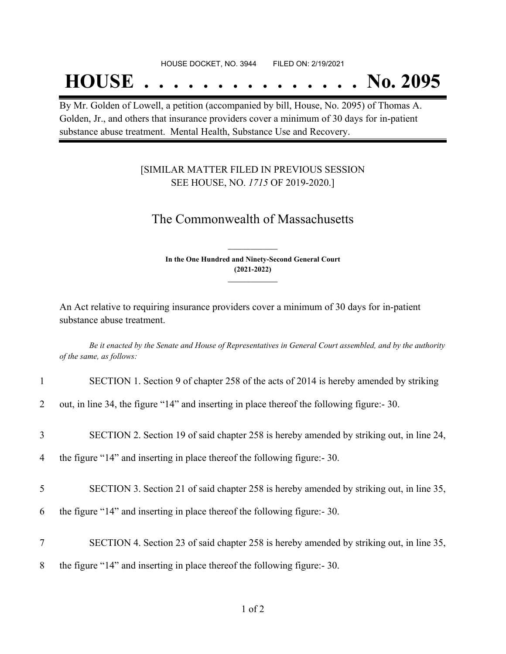## **HOUSE . . . . . . . . . . . . . . . No. 2095**

By Mr. Golden of Lowell, a petition (accompanied by bill, House, No. 2095) of Thomas A. Golden, Jr., and others that insurance providers cover a minimum of 30 days for in-patient substance abuse treatment. Mental Health, Substance Use and Recovery.

### [SIMILAR MATTER FILED IN PREVIOUS SESSION SEE HOUSE, NO. *1715* OF 2019-2020.]

## The Commonwealth of Massachusetts

**In the One Hundred and Ninety-Second General Court (2021-2022) \_\_\_\_\_\_\_\_\_\_\_\_\_\_\_**

**\_\_\_\_\_\_\_\_\_\_\_\_\_\_\_**

An Act relative to requiring insurance providers cover a minimum of 30 days for in-patient substance abuse treatment.

Be it enacted by the Senate and House of Representatives in General Court assembled, and by the authority *of the same, as follows:*

| $\mathbf{1}$   | SECTION 1. Section 9 of chapter 258 of the acts of 2014 is hereby amended by striking       |
|----------------|---------------------------------------------------------------------------------------------|
| $\overline{2}$ | out, in line 34, the figure "14" and inserting in place thereof the following figure: - 30. |
| 3              | SECTION 2. Section 19 of said chapter 258 is hereby amended by striking out, in line 24,    |
| 4              | the figure "14" and inserting in place thereof the following figure:- 30.                   |
| 5              | SECTION 3. Section 21 of said chapter 258 is hereby amended by striking out, in line 35,    |
| 6              | the figure "14" and inserting in place thereof the following figure:- 30.                   |
| 7              | SECTION 4. Section 23 of said chapter 258 is hereby amended by striking out, in line 35,    |
| 8              | the figure "14" and inserting in place thereof the following figure: - 30.                  |